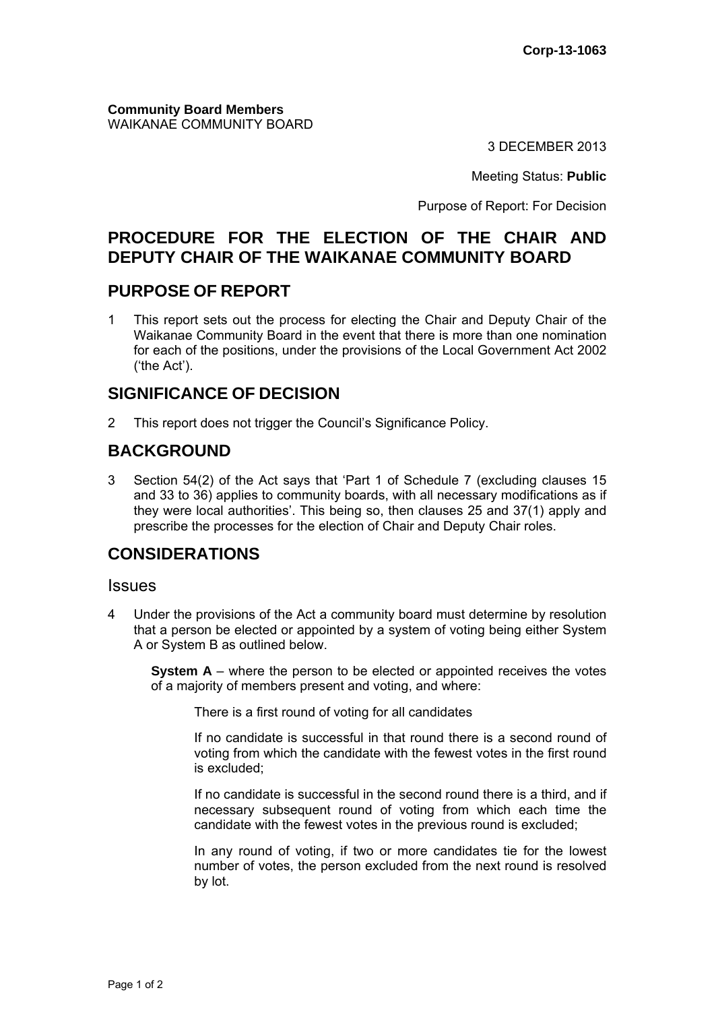**Community Board Members** WAIKANAE COMMUNITY BOARD

3 DECEMBER 2013

Meeting Status: **Public**

Purpose of Report: For Decision

# **PROCEDURE FOR THE ELECTION OF THE CHAIR AND DEPUTY CHAIR OF THE WAIKANAE COMMUNITY BOARD**

## **PURPOSE OF REPORT**

1 This report sets out the process for electing the Chair and Deputy Chair of the Waikanae Community Board in the event that there is more than one nomination for each of the positions, under the provisions of the Local Government Act 2002 ('the Act').

## **SIGNIFICANCE OF DECISION**

2 This report does not trigger the Council's Significance Policy.

# **BACKGROUND**

3 Section 54(2) of the Act says that 'Part 1 of Schedule 7 (excluding clauses 15 and 33 to 36) applies to community boards, with all necessary modifications as if they were local authorities'. This being so, then clauses 25 and 37(1) apply and prescribe the processes for the election of Chair and Deputy Chair roles.

## **CONSIDERATIONS**

#### **Issues**

4 Under the provisions of the Act a community board must determine by resolution that a person be elected or appointed by a system of voting being either System A or System B as outlined below.

**System A** – where the person to be elected or appointed receives the votes of a majority of members present and voting, and where:

There is a first round of voting for all candidates

If no candidate is successful in that round there is a second round of voting from which the candidate with the fewest votes in the first round is excluded;

If no candidate is successful in the second round there is a third, and if necessary subsequent round of voting from which each time the candidate with the fewest votes in the previous round is excluded;

In any round of voting, if two or more candidates tie for the lowest number of votes, the person excluded from the next round is resolved by lot.